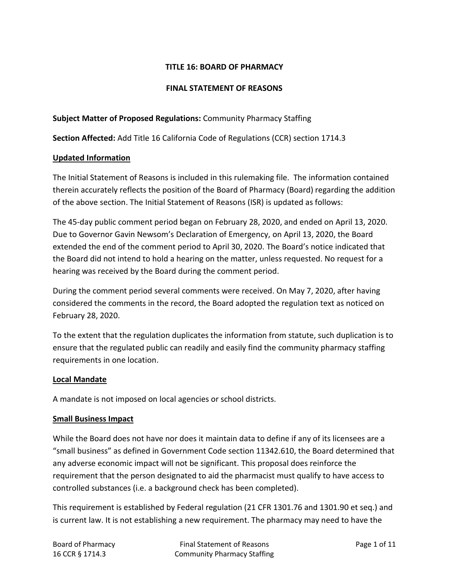### **TITLE 16: BOARD OF PHARMACY**

#### **FINAL STATEMENT OF REASONS**

### **Subject Matter of Proposed Regulations:** Community Pharmacy Staffing

**Section Affected:** Add Title 16 California Code of Regulations (CCR) section 1714.3

#### **Updated Information**

The Initial Statement of Reasons is included in this rulemaking file. The information contained therein accurately reflects the position of the Board of Pharmacy (Board) regarding the addition of the above section. The Initial Statement of Reasons (ISR) is updated as follows:

The 45-day public comment period began on February 28, 2020, and ended on April 13, 2020. Due to Governor Gavin Newsom's Declaration of Emergency, on April 13, 2020, the Board extended the end of the comment period to April 30, 2020. The Board's notice indicated that the Board did not intend to hold a hearing on the matter, unless requested. No request for a hearing was received by the Board during the comment period.

During the comment period several comments were received. On May 7, 2020, after having considered the comments in the record, the Board adopted the regulation text as noticed on February 28, 2020.

To the extent that the regulation duplicates the information from statute, such duplication is to ensure that the regulated public can readily and easily find the community pharmacy staffing requirements in one location.

#### **Local Mandate**

A mandate is not imposed on local agencies or school districts.

#### **Small Business Impact**

While the Board does not have nor does it maintain data to define if any of its licensees are a "small business" as defined in Government Code section 11342.610, the Board determined that any adverse economic impact will not be significant. This proposal does reinforce the requirement that the person designated to aid the pharmacist must qualify to have access to controlled substances (i.e. a background check has been completed).

This requirement is established by Federal regulation (21 CFR 1301.76 and 1301.90 et seq.) and is current law. It is not establishing a new requirement. The pharmacy may need to have the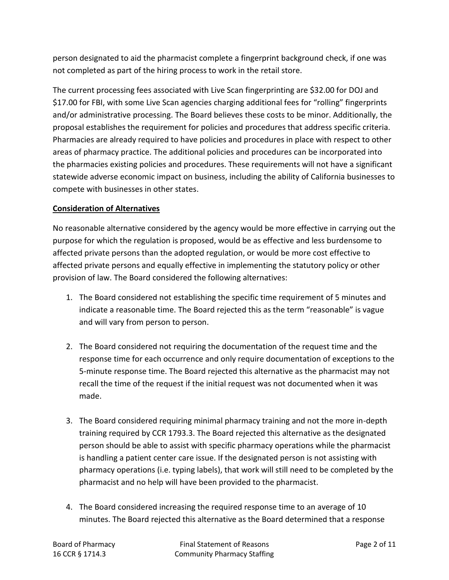person designated to aid the pharmacist complete a fingerprint background check, if one was not completed as part of the hiring process to work in the retail store.

The current processing fees associated with Live Scan fingerprinting are \$32.00 for DOJ and \$17.00 for FBI, with some Live Scan agencies charging additional fees for "rolling" fingerprints and/or administrative processing. The Board believes these costs to be minor. Additionally, the proposal establishes the requirement for policies and procedures that address specific criteria. Pharmacies are already required to have policies and procedures in place with respect to other areas of pharmacy practice. The additional policies and procedures can be incorporated into the pharmacies existing policies and procedures. These requirements will not have a significant statewide adverse economic impact on business, including the ability of California businesses to compete with businesses in other states.

## **Consideration of Alternatives**

No reasonable alternative considered by the agency would be more effective in carrying out the purpose for which the regulation is proposed, would be as effective and less burdensome to affected private persons than the adopted regulation, or would be more cost effective to affected private persons and equally effective in implementing the statutory policy or other provision of law. The Board considered the following alternatives:

- 1. The Board considered not establishing the specific time requirement of 5 minutes and indicate a reasonable time. The Board rejected this as the term "reasonable" is vague and will vary from person to person.
- 2. The Board considered not requiring the documentation of the request time and the response time for each occurrence and only require documentation of exceptions to the 5-minute response time. The Board rejected this alternative as the pharmacist may not recall the time of the request if the initial request was not documented when it was made.
- 3. The Board considered requiring minimal pharmacy training and not the more in-depth training required by CCR 1793.3. The Board rejected this alternative as the designated person should be able to assist with specific pharmacy operations while the pharmacist is handling a patient center care issue. If the designated person is not assisting with pharmacy operations (i.e. typing labels), that work will still need to be completed by the pharmacist and no help will have been provided to the pharmacist.
- 4. The Board considered increasing the required response time to an average of 10 minutes. The Board rejected this alternative as the Board determined that a response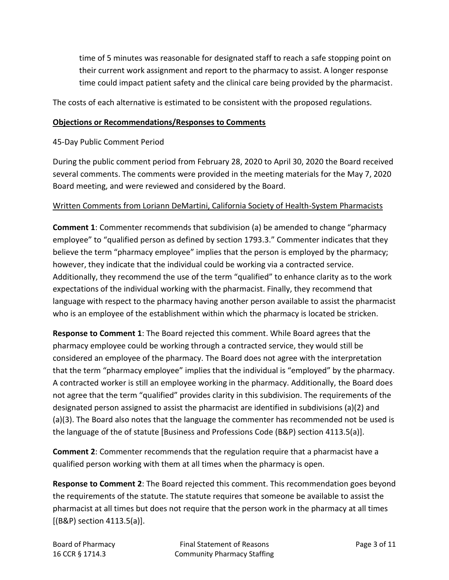time of 5 minutes was reasonable for designated staff to reach a safe stopping point on their current work assignment and report to the pharmacy to assist. A longer response time could impact patient safety and the clinical care being provided by the pharmacist.

The costs of each alternative is estimated to be consistent with the proposed regulations.

#### **Objections or Recommendations/Responses to Comments**

45-Day Public Comment Period

During the public comment period from February 28, 2020 to April 30, 2020 the Board received several comments. The comments were provided in the meeting materials for the May 7, 2020 Board meeting, and were reviewed and considered by the Board.

## Written Comments from Loriann DeMartini, California Society of Health-System Pharmacists

**Comment 1**: Commenter recommends that subdivision (a) be amended to change "pharmacy employee" to "qualified person as defined by section 1793.3." Commenter indicates that they believe the term "pharmacy employee" implies that the person is employed by the pharmacy; however, they indicate that the individual could be working via a contracted service. Additionally, they recommend the use of the term "qualified" to enhance clarity as to the work expectations of the individual working with the pharmacist. Finally, they recommend that language with respect to the pharmacy having another person available to assist the pharmacist who is an employee of the establishment within which the pharmacy is located be stricken.

**Response to Comment 1**: The Board rejected this comment. While Board agrees that the pharmacy employee could be working through a contracted service, they would still be considered an employee of the pharmacy. The Board does not agree with the interpretation that the term "pharmacy employee" implies that the individual is "employed" by the pharmacy. A contracted worker is still an employee working in the pharmacy. Additionally, the Board does not agree that the term "qualified" provides clarity in this subdivision. The requirements of the designated person assigned to assist the pharmacist are identified in subdivisions (a)(2) and (a)(3). The Board also notes that the language the commenter has recommended not be used is the language of the of statute [Business and Professions Code (B&P) section 4113.5(a)].

**Comment 2**: Commenter recommends that the regulation require that a pharmacist have a qualified person working with them at all times when the pharmacy is open.

**Response to Comment 2**: The Board rejected this comment. This recommendation goes beyond the requirements of the statute. The statute requires that someone be available to assist the pharmacist at all times but does not require that the person work in the pharmacy at all times [(B&P) section 4113.5(a)].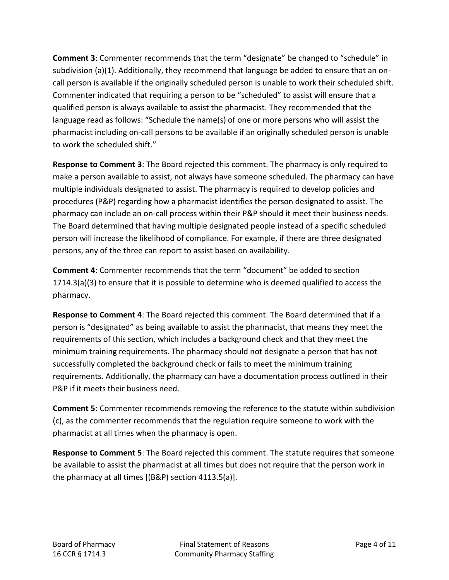**Comment 3**: Commenter recommends that the term "designate" be changed to "schedule" in subdivision (a)(1). Additionally, they recommend that language be added to ensure that an oncall person is available if the originally scheduled person is unable to work their scheduled shift. Commenter indicated that requiring a person to be "scheduled" to assist will ensure that a qualified person is always available to assist the pharmacist. They recommended that the language read as follows: "Schedule the name(s) of one or more persons who will assist the pharmacist including on-call persons to be available if an originally scheduled person is unable to work the scheduled shift."

**Response to Comment 3**: The Board rejected this comment. The pharmacy is only required to make a person available to assist, not always have someone scheduled. The pharmacy can have multiple individuals designated to assist. The pharmacy is required to develop policies and procedures (P&P) regarding how a pharmacist identifies the person designated to assist. The pharmacy can include an on-call process within their P&P should it meet their business needs. The Board determined that having multiple designated people instead of a specific scheduled person will increase the likelihood of compliance. For example, if there are three designated persons, any of the three can report to assist based on availability.

**Comment 4**: Commenter recommends that the term "document" be added to section 1714.3(a)(3) to ensure that it is possible to determine who is deemed qualified to access the pharmacy.

**Response to Comment 4**: The Board rejected this comment. The Board determined that if a person is "designated" as being available to assist the pharmacist, that means they meet the requirements of this section, which includes a background check and that they meet the minimum training requirements. The pharmacy should not designate a person that has not successfully completed the background check or fails to meet the minimum training requirements. Additionally, the pharmacy can have a documentation process outlined in their P&P if it meets their business need.

**Comment 5:** Commenter recommends removing the reference to the statute within subdivision (c), as the commenter recommends that the regulation require someone to work with the pharmacist at all times when the pharmacy is open.

**Response to Comment 5**: The Board rejected this comment. The statute requires that someone be available to assist the pharmacist at all times but does not require that the person work in the pharmacy at all times [(B&P) section 4113.5(a)].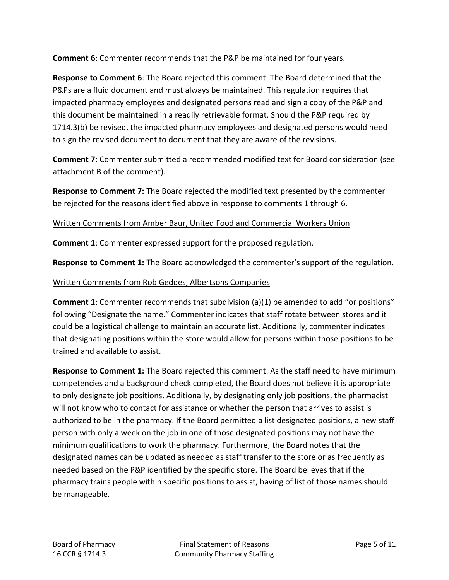**Comment 6**: Commenter recommends that the P&P be maintained for four years.

**Response to Comment 6**: The Board rejected this comment. The Board determined that the P&Ps are a fluid document and must always be maintained. This regulation requires that impacted pharmacy employees and designated persons read and sign a copy of the P&P and this document be maintained in a readily retrievable format. Should the P&P required by 1714.3(b) be revised, the impacted pharmacy employees and designated persons would need to sign the revised document to document that they are aware of the revisions.

**Comment 7**: Commenter submitted a recommended modified text for Board consideration (see attachment B of the comment).

**Response to Comment 7:** The Board rejected the modified text presented by the commenter be rejected for the reasons identified above in response to comments 1 through 6.

# Written Comments from Amber Baur, United Food and Commercial Workers Union

**Comment 1**: Commenter expressed support for the proposed regulation.

**Response to Comment 1:** The Board acknowledged the commenter's support of the regulation.

# Written Comments from Rob Geddes, Albertsons Companies

**Comment 1**: Commenter recommends that subdivision (a)(1) be amended to add "or positions" following "Designate the name." Commenter indicates that staff rotate between stores and it could be a logistical challenge to maintain an accurate list. Additionally, commenter indicates that designating positions within the store would allow for persons within those positions to be trained and available to assist.

**Response to Comment 1:** The Board rejected this comment. As the staff need to have minimum competencies and a background check completed, the Board does not believe it is appropriate to only designate job positions. Additionally, by designating only job positions, the pharmacist will not know who to contact for assistance or whether the person that arrives to assist is authorized to be in the pharmacy. If the Board permitted a list designated positions, a new staff person with only a week on the job in one of those designated positions may not have the minimum qualifications to work the pharmacy. Furthermore, the Board notes that the designated names can be updated as needed as staff transfer to the store or as frequently as needed based on the P&P identified by the specific store. The Board believes that if the pharmacy trains people within specific positions to assist, having of list of those names should be manageable.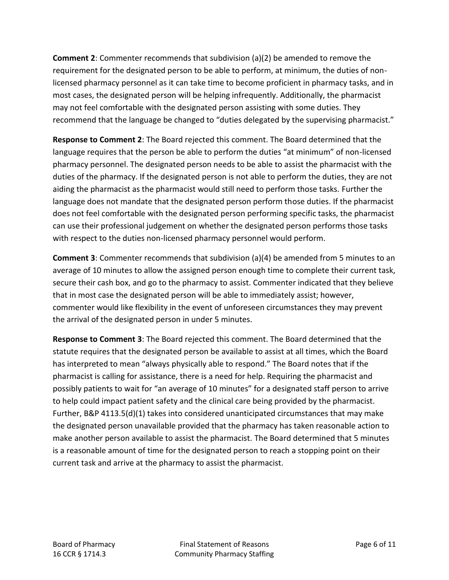**Comment 2**: Commenter recommends that subdivision (a)(2) be amended to remove the requirement for the designated person to be able to perform, at minimum, the duties of nonlicensed pharmacy personnel as it can take time to become proficient in pharmacy tasks, and in most cases, the designated person will be helping infrequently. Additionally, the pharmacist may not feel comfortable with the designated person assisting with some duties. They recommend that the language be changed to "duties delegated by the supervising pharmacist."

**Response to Comment 2**: The Board rejected this comment. The Board determined that the language requires that the person be able to perform the duties "at minimum" of non-licensed pharmacy personnel. The designated person needs to be able to assist the pharmacist with the duties of the pharmacy. If the designated person is not able to perform the duties, they are not aiding the pharmacist as the pharmacist would still need to perform those tasks. Further the language does not mandate that the designated person perform those duties. If the pharmacist does not feel comfortable with the designated person performing specific tasks, the pharmacist can use their professional judgement on whether the designated person performs those tasks with respect to the duties non-licensed pharmacy personnel would perform.

**Comment 3**: Commenter recommends that subdivision (a)(4) be amended from 5 minutes to an average of 10 minutes to allow the assigned person enough time to complete their current task, secure their cash box, and go to the pharmacy to assist. Commenter indicated that they believe that in most case the designated person will be able to immediately assist; however, commenter would like flexibility in the event of unforeseen circumstances they may prevent the arrival of the designated person in under 5 minutes.

**Response to Comment 3**: The Board rejected this comment. The Board determined that the statute requires that the designated person be available to assist at all times, which the Board has interpreted to mean "always physically able to respond." The Board notes that if the pharmacist is calling for assistance, there is a need for help. Requiring the pharmacist and possibly patients to wait for "an average of 10 minutes" for a designated staff person to arrive to help could impact patient safety and the clinical care being provided by the pharmacist. Further, B&P 4113.5(d)(1) takes into considered unanticipated circumstances that may make the designated person unavailable provided that the pharmacy has taken reasonable action to make another person available to assist the pharmacist. The Board determined that 5 minutes is a reasonable amount of time for the designated person to reach a stopping point on their current task and arrive at the pharmacy to assist the pharmacist.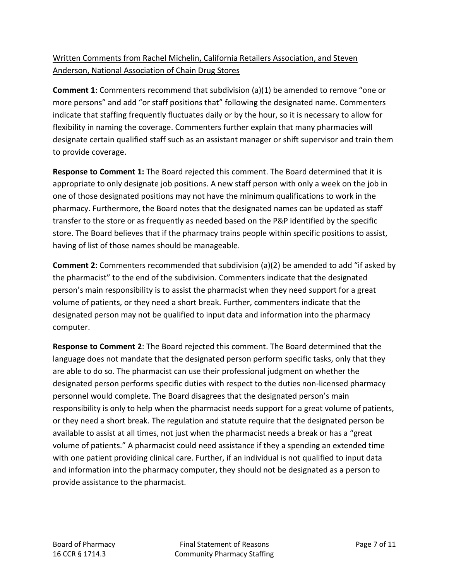# Written Comments from Rachel Michelin, California Retailers Association, and Steven Anderson, National Association of Chain Drug Stores

**Comment 1**: Commenters recommend that subdivision (a)(1) be amended to remove "one or more persons" and add "or staff positions that" following the designated name. Commenters indicate that staffing frequently fluctuates daily or by the hour, so it is necessary to allow for flexibility in naming the coverage. Commenters further explain that many pharmacies will designate certain qualified staff such as an assistant manager or shift supervisor and train them to provide coverage.

**Response to Comment 1:** The Board rejected this comment. The Board determined that it is appropriate to only designate job positions. A new staff person with only a week on the job in one of those designated positions may not have the minimum qualifications to work in the pharmacy. Furthermore, the Board notes that the designated names can be updated as staff transfer to the store or as frequently as needed based on the P&P identified by the specific store. The Board believes that if the pharmacy trains people within specific positions to assist, having of list of those names should be manageable.

**Comment 2**: Commenters recommended that subdivision (a)(2) be amended to add "if asked by the pharmacist" to the end of the subdivision. Commenters indicate that the designated person's main responsibility is to assist the pharmacist when they need support for a great volume of patients, or they need a short break. Further, commenters indicate that the designated person may not be qualified to input data and information into the pharmacy computer.

**Response to Comment 2**: The Board rejected this comment. The Board determined that the language does not mandate that the designated person perform specific tasks, only that they are able to do so. The pharmacist can use their professional judgment on whether the designated person performs specific duties with respect to the duties non-licensed pharmacy personnel would complete. The Board disagrees that the designated person's main responsibility is only to help when the pharmacist needs support for a great volume of patients, or they need a short break. The regulation and statute require that the designated person be available to assist at all times, not just when the pharmacist needs a break or has a "great volume of patients." A pharmacist could need assistance if they a spending an extended time with one patient providing clinical care. Further, if an individual is not qualified to input data and information into the pharmacy computer, they should not be designated as a person to provide assistance to the pharmacist.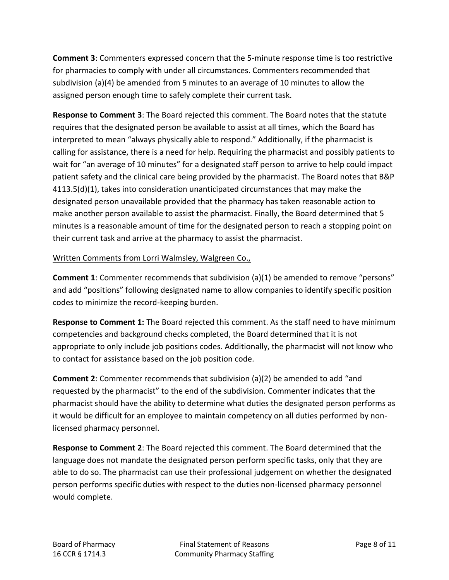**Comment 3**: Commenters expressed concern that the 5-minute response time is too restrictive for pharmacies to comply with under all circumstances. Commenters recommended that subdivision (a)(4) be amended from 5 minutes to an average of 10 minutes to allow the assigned person enough time to safely complete their current task.

**Response to Comment 3**: The Board rejected this comment. The Board notes that the statute requires that the designated person be available to assist at all times, which the Board has interpreted to mean "always physically able to respond." Additionally, if the pharmacist is calling for assistance, there is a need for help. Requiring the pharmacist and possibly patients to wait for "an average of 10 minutes" for a designated staff person to arrive to help could impact patient safety and the clinical care being provided by the pharmacist. The Board notes that B&P 4113.5(d)(1), takes into consideration unanticipated circumstances that may make the designated person unavailable provided that the pharmacy has taken reasonable action to make another person available to assist the pharmacist. Finally, the Board determined that 5 minutes is a reasonable amount of time for the designated person to reach a stopping point on their current task and arrive at the pharmacy to assist the pharmacist.

## Written Comments from Lorri Walmsley, Walgreen Co.,

**Comment 1**: Commenter recommends that subdivision (a)(1) be amended to remove "persons" and add "positions" following designated name to allow companies to identify specific position codes to minimize the record-keeping burden.

**Response to Comment 1:** The Board rejected this comment. As the staff need to have minimum competencies and background checks completed, the Board determined that it is not appropriate to only include job positions codes. Additionally, the pharmacist will not know who to contact for assistance based on the job position code.

**Comment 2**: Commenter recommends that subdivision (a)(2) be amended to add "and requested by the pharmacist" to the end of the subdivision. Commenter indicates that the pharmacist should have the ability to determine what duties the designated person performs as it would be difficult for an employee to maintain competency on all duties performed by nonlicensed pharmacy personnel.

**Response to Comment 2**: The Board rejected this comment. The Board determined that the language does not mandate the designated person perform specific tasks, only that they are able to do so. The pharmacist can use their professional judgement on whether the designated person performs specific duties with respect to the duties non-licensed pharmacy personnel would complete.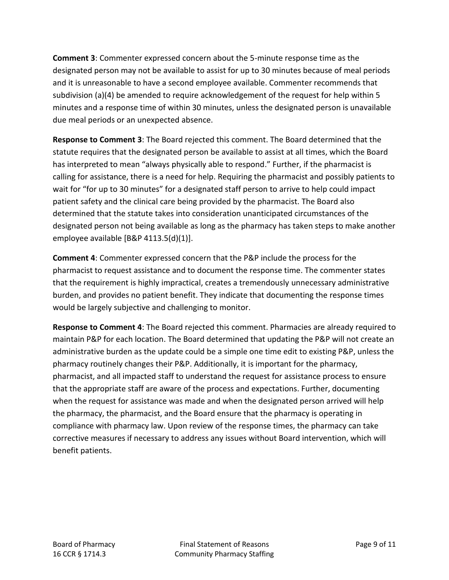**Comment 3**: Commenter expressed concern about the 5-minute response time as the designated person may not be available to assist for up to 30 minutes because of meal periods and it is unreasonable to have a second employee available. Commenter recommends that subdivision (a)(4) be amended to require acknowledgement of the request for help within 5 minutes and a response time of within 30 minutes, unless the designated person is unavailable due meal periods or an unexpected absence.

**Response to Comment 3**: The Board rejected this comment. The Board determined that the statute requires that the designated person be available to assist at all times, which the Board has interpreted to mean "always physically able to respond." Further, if the pharmacist is calling for assistance, there is a need for help. Requiring the pharmacist and possibly patients to wait for "for up to 30 minutes" for a designated staff person to arrive to help could impact patient safety and the clinical care being provided by the pharmacist. The Board also determined that the statute takes into consideration unanticipated circumstances of the designated person not being available as long as the pharmacy has taken steps to make another employee available [B&P 4113.5(d)(1)].

**Comment 4**: Commenter expressed concern that the P&P include the process for the pharmacist to request assistance and to document the response time. The commenter states that the requirement is highly impractical, creates a tremendously unnecessary administrative burden, and provides no patient benefit. They indicate that documenting the response times would be largely subjective and challenging to monitor.

**Response to Comment 4**: The Board rejected this comment. Pharmacies are already required to maintain P&P for each location. The Board determined that updating the P&P will not create an administrative burden as the update could be a simple one time edit to existing P&P, unless the pharmacy routinely changes their P&P. Additionally, it is important for the pharmacy, pharmacist, and all impacted staff to understand the request for assistance process to ensure that the appropriate staff are aware of the process and expectations. Further, documenting when the request for assistance was made and when the designated person arrived will help the pharmacy, the pharmacist, and the Board ensure that the pharmacy is operating in compliance with pharmacy law. Upon review of the response times, the pharmacy can take corrective measures if necessary to address any issues without Board intervention, which will benefit patients.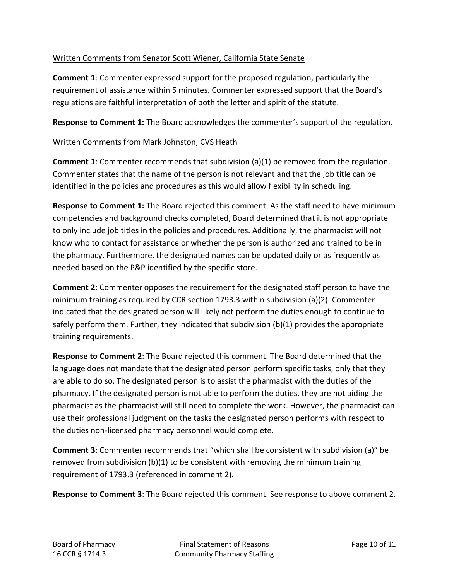# Written Comments from Senator Scott Wiener, California State Senate

**Comment 1**: Commenter expressed support for the proposed regulation, particularly the requirement of assistance within 5 minutes. Commenter expressed support that the Board's regulations are faithful interpretation of both the letter and spirit of the statute.

**Response to Comment 1:** The Board acknowledges the commenter's support of the regulation.

## Written Comments from Mark Johnston, CVS Heath

**Comment 1**: Commenter recommends that subdivision (a)(1) be removed from the regulation. Commenter states that the name of the person is not relevant and that the job title can be identified in the policies and procedures as this would allow flexibility in scheduling.

**Response to Comment 1:** The Board rejected this comment. As the staff need to have minimum competencies and background checks completed, Board determined that it is not appropriate to only include job titles in the policies and procedures. Additionally, the pharmacist will not know who to contact for assistance or whether the person is authorized and trained to be in the pharmacy. Furthermore, the designated names can be updated daily or as frequently as needed based on the P&P identified by the specific store.

**Comment 2**: Commenter opposes the requirement for the designated staff person to have the minimum training as required by CCR section 1793.3 within subdivision (a)(2). Commenter indicated that the designated person will likely not perform the duties enough to continue to safely perform them. Further, they indicated that subdivision (b)(1) provides the appropriate training requirements.

**Response to Comment 2**: The Board rejected this comment. The Board determined that the language does not mandate that the designated person perform specific tasks, only that they are able to do so. The designated person is to assist the pharmacist with the duties of the pharmacy. If the designated person is not able to perform the duties, they are not aiding the pharmacist as the pharmacist will still need to complete the work. However, the pharmacist can use their professional judgment on the tasks the designated person performs with respect to the duties non-licensed pharmacy personnel would complete.

**Comment 3**: Commenter recommends that "which shall be consistent with subdivision (a)" be removed from subdivision  $(b)(1)$  to be consistent with removing the minimum training requirement of 1793.3 (referenced in comment 2).

**Response to Comment 3**: The Board rejected this comment. See response to above comment 2.